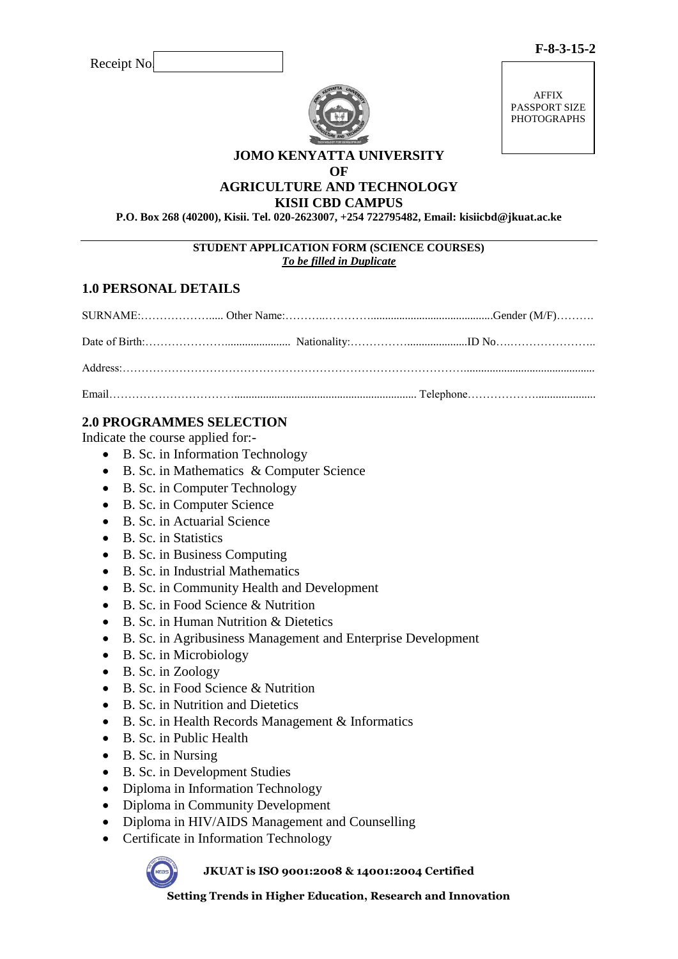AFFIX PASSPORT SIZE PHOTOGRAPHS

#### **JOMO KENYATTA UNIVERSITY OF**

#### **AGRICULTURE AND TECHNOLOGY KISII CBD CAMPUS**

**P.O. Box 268 (40200), Kisii. Tel. 020-2623007, +254 722795482, Email: kisiicbd@jkuat.ac.ke**

#### **STUDENT APPLICATION FORM (SCIENCE COURSES)** *To be filled in Duplicate*

# **1.0 PERSONAL DETAILS**

# **2.0 PROGRAMMES SELECTION**

Indicate the course applied for:-

- B. Sc. in Information Technology
- B. Sc. in Mathematics & Computer Science
- B. Sc. in Computer Technology
- B. Sc. in Computer Science
- B. Sc. in Actuarial Science
- B. Sc. in Statistics
- B. Sc. in Business Computing
- B. Sc. in Industrial Mathematics
- B. Sc. in Community Health and Development
- B. Sc. in Food Science & Nutrition
- B. Sc. in Human Nutrition & Dietetics
- B. Sc. in Agribusiness Management and Enterprise Development
- $\bullet$  B. Sc. in Microbiology
- B. Sc. in Zoology
- $\bullet$  B. Sc. in Food Science & Nutrition
- B. Sc. in Nutrition and Dietetics
- B. Sc. in Health Records Management & Informatics
- B. Sc. in Public Health
- B. Sc. in Nursing
- B. Sc. in Development Studies
- Diploma in Information Technology
- Diploma in Community Development
- Diploma in HIV/AIDS Management and Counselling
- Certificate in Information Technology



#### **JKUAT is ISO 9001:2008 & 14001:2004 Certified**

**Setting Trends in Higher Education, Research and Innovation**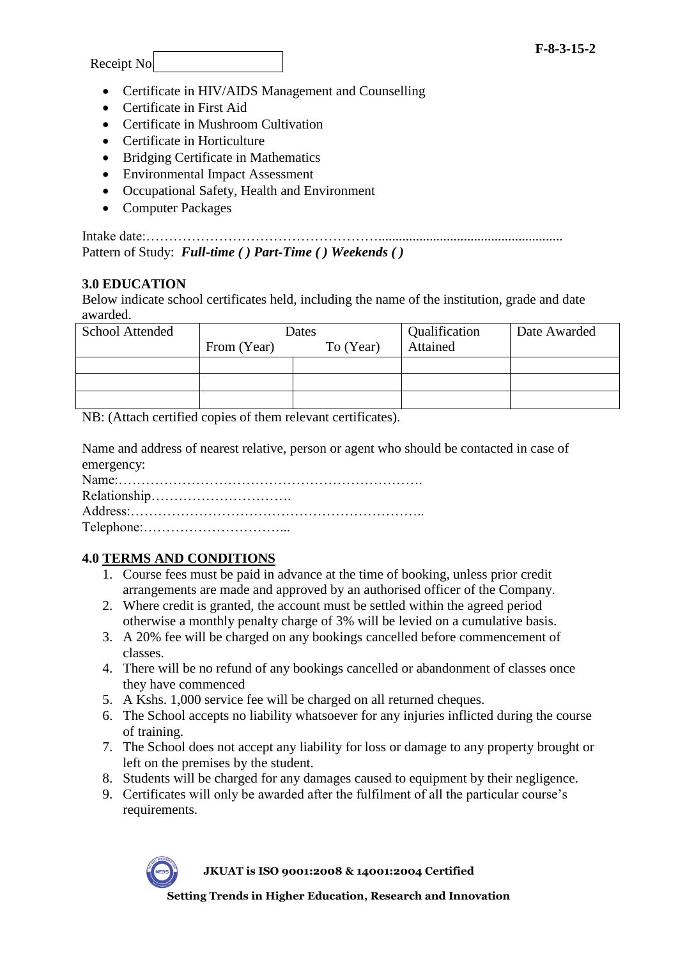Receipt No.

- Certificate in HIV/AIDS Management and Counselling
- Certificate in First Aid
- Certificate in Mushroom Cultivation
- Certificate in Horticulture
- Bridging Certificate in Mathematics
- Environmental Impact Assessment
- Occupational Safety, Health and Environment
- Computer Packages

Intake date:……………………………………………...................................................... Pattern of Study: *Full-time ( ) Part-Time ( ) Weekends ( )*

### **3.0 EDUCATION**

Below indicate school certificates held, including the name of the institution, grade and date awarded.

| School Attended | Dates       |           | Qualification | Date Awarded |
|-----------------|-------------|-----------|---------------|--------------|
|                 | From (Year) | To (Year) | Attained      |              |
|                 |             |           |               |              |
|                 |             |           |               |              |
|                 |             |           |               |              |

NB: (Attach certified copies of them relevant certificates).

Name and address of nearest relative, person or agent who should be contacted in case of emergency:

Name:…………………………………………………………. Relationship…………………………. Address:……………………………………………………….. Telephone:…………………………...

# **4.0 TERMS AND CONDITIONS**

- 1. Course fees must be paid in advance at the time of booking, unless prior credit arrangements are made and approved by an authorised officer of the Company.
- 2. Where credit is granted, the account must be settled within the agreed period otherwise a monthly penalty charge of 3% will be levied on a cumulative basis.
- 3. A 20% fee will be charged on any bookings cancelled before commencement of classes.
- 4. There will be no refund of any bookings cancelled or abandonment of classes once they have commenced
- 5. A Kshs. 1,000 service fee will be charged on all returned cheques.
- 6. The School accepts no liability whatsoever for any injuries inflicted during the course of training.
- 7. The School does not accept any liability for loss or damage to any property brought or left on the premises by the student.
- 8. Students will be charged for any damages caused to equipment by their negligence.
- 9. Certificates will only be awarded after the fulfilment of all the particular course's requirements.



**JKUAT is ISO 9001:2008 & 14001:2004 Certified**

**Setting Trends in Higher Education, Research and Innovation**